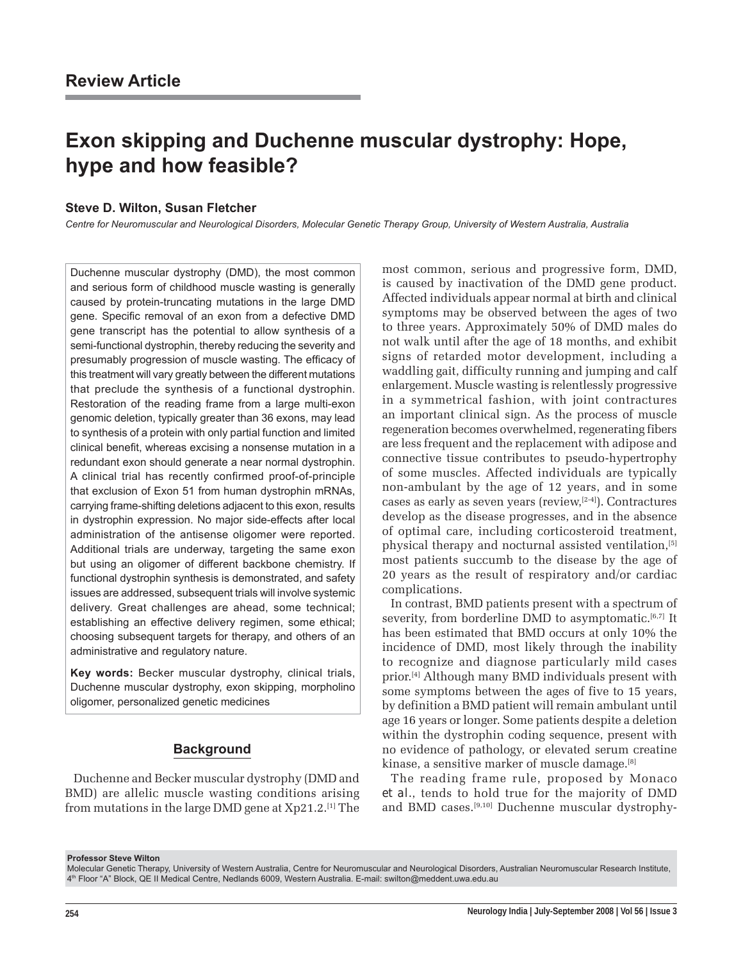# **Exon skipping and Duchenne muscular dystrophy: Hope, hype and how feasible?**

#### **Steve D. Wilton, Susan Fletcher**

*Centre for Neuromuscular and Neurological Disorders, Molecular Genetic Therapy Group, University of Western Australia, Australia*

Duchenne muscular dystrophy (DMD), the most common and serious form of childhood muscle wasting is generally caused by protein-truncating mutations in the large DMD gene. Specific removal of an exon from a defective DMD gene transcript has the potential to allow synthesis of a semi-functional dystrophin, thereby reducing the severity and presumably progression of muscle wasting. The efficacy of this treatment will vary greatly between the different mutations that preclude the synthesis of a functional dystrophin. Restoration of the reading frame from a large multi-exon genomic deletion, typically greater than 36 exons, may lead to synthesis of a protein with only partial function and limited clinical benefit, whereas excising a nonsense mutation in a redundant exon should generate a near normal dystrophin. A clinical trial has recently confirmed proof-of-principle that exclusion of Exon 51 from human dystrophin mRNAs, carrying frame-shifting deletions adjacent to this exon, results in dystrophin expression. No major side-effects after local administration of the antisense oligomer were reported. Additional trials are underway, targeting the same exon but using an oligomer of different backbone chemistry. If functional dystrophin synthesis is demonstrated, and safety issues are addressed, subsequent trials will involve systemic delivery. Great challenges are ahead, some technical; establishing an effective delivery regimen, some ethical; choosing subsequent targets for therapy, and others of an administrative and regulatory nature.

**Key words:** Becker muscular dystrophy, clinical trials, Duchenne muscular dystrophy, exon skipping, morpholino oligomer, personalized genetic medicines

#### **Background**

Duchenne and Becker muscular dystrophy (DMD and BMD) are allelic muscle wasting conditions arising from mutations in the large DMD gene at Xp21.2.[1] The most common, serious and progressive form, DMD, is caused by inactivation of the DMD gene product. Affected individuals appear normal at birth and clinical symptoms may be observed between the ages of two to three years. Approximately 50% of DMD males do not walk until after the age of 18 months, and exhibit signs of retarded motor development, including a waddling gait, difficulty running and jumping and calf enlargement. Muscle wasting is relentlessly progressive in a symmetrical fashion, with joint contractures an important clinical sign. As the process of muscle regeneration becomes overwhelmed, regenerating fibers are less frequent and the replacement with adipose and connective tissue contributes to pseudo-hypertrophy of some muscles. Affected individuals are typically non-ambulant by the age of 12 years, and in some cases as early as seven years (review,[2-4]). Contractures develop as the disease progresses, and in the absence of optimal care, including corticosteroid treatment, physical therapy and nocturnal assisted ventilation,[5] most patients succumb to the disease by the age of 20 years as the result of respiratory and/or cardiac complications.

In contrast, BMD patients present with a spectrum of severity, from borderline DMD to asymptomatic. $[6,7]$  It has been estimated that BMD occurs at only 10% the incidence of DMD, most likely through the inability to recognize and diagnose particularly mild cases prior.[4] Although many BMD individuals present with some symptoms between the ages of five to 15 years, by definition a BMD patient will remain ambulant until age 16 years or longer. Some patients despite a deletion within the dystrophin coding sequence, present with no evidence of pathology, or elevated serum creatine kinase, a sensitive marker of muscle damage.[8]

The reading frame rule, proposed by Monaco *et al.*, tends to hold true for the majority of DMD and BMD cases.[9,10] Duchenne muscular dystrophy-

**Professor Steve Wilton**

Molecular Genetic Therapy, University of Western Australia, Centre for Neuromuscular and Neurological Disorders, Australian Neuromuscular Research Institute, 4th Floor ìAî Block, QE II Medical Centre, Nedlands 6009, Western Australia. E-mail: swilton@meddent.uwa.edu.au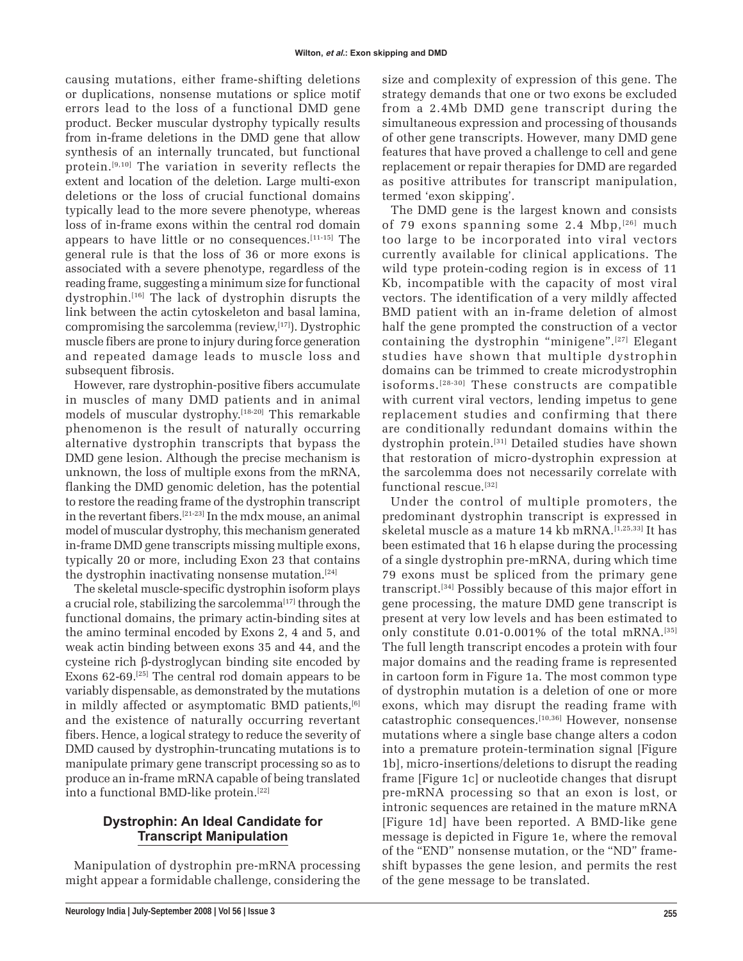causing mutations, either frame-shifting deletions or duplications, nonsense mutations or splice motif errors lead to the loss of a functional DMD gene product. Becker muscular dystrophy typically results from in-frame deletions in the DMD gene that allow synthesis of an internally truncated, but functional protein.[9,10] The variation in severity reflects the extent and location of the deletion. Large multi-exon deletions or the loss of crucial functional domains typically lead to the more severe phenotype, whereas loss of in-frame exons within the central rod domain appears to have little or no consequences.[11-15] The general rule is that the loss of 36 or more exons is associated with a severe phenotype, regardless of the reading frame, suggesting a minimum size for functional dystrophin.[16] The lack of dystrophin disrupts the link between the actin cytoskeleton and basal lamina, compromising the sarcolemma (review,[17]). Dystrophic muscle fibers are prone to injury during force generation and repeated damage leads to muscle loss and subsequent fibrosis.

However, rare dystrophin-positive fibers accumulate in muscles of many DMD patients and in animal models of muscular dystrophy.[18-20] This remarkable phenomenon is the result of naturally occurring alternative dystrophin transcripts that bypass the DMD gene lesion. Although the precise mechanism is unknown, the loss of multiple exons from the mRNA, flanking the DMD genomic deletion, has the potential to restore the reading frame of the dystrophin transcript in the revertant fibers.[21-23] In the mdx mouse, an animal model of muscular dystrophy, this mechanism generated in-frame DMD gene transcripts missing multiple exons, typically 20 or more, including Exon 23 that contains the dystrophin inactivating nonsense mutation.<sup>[24]</sup>

The skeletal muscle-specific dystrophin isoform plays a crucial role, stabilizing the sarcolemma<sup>[17]</sup> through the functional domains, the primary actin-binding sites at the amino terminal encoded by Exons 2, 4 and 5, and weak actin binding between exons 35 and 44, and the cysteine rich β-dystroglycan binding site encoded by Exons 62-69.[25] The central rod domain appears to be variably dispensable, as demonstrated by the mutations in mildly affected or asymptomatic BMD patients,<sup>[6]</sup> and the existence of naturally occurring revertant fibers. Hence, a logical strategy to reduce the severity of DMD caused by dystrophin-truncating mutations is to manipulate primary gene transcript processing so as to produce an in-frame mRNA capable of being translated into a functional BMD-like protein.<sup>[22]</sup>

## **Dystrophin: An Ideal Candidate for Transcript Manipulation**

Manipulation of dystrophin pre-mRNA processing might appear a formidable challenge, considering the size and complexity of expression of this gene. The strategy demands that one or two exons be excluded from a 2.4Mb DMD gene transcript during the simultaneous expression and processing of thousands of other gene transcripts. However, many DMD gene features that have proved a challenge to cell and gene replacement or repair therapies for DMD are regarded as positive attributes for transcript manipulation, termed ëexon skippingí.

The DMD gene is the largest known and consists of 79 exons spanning some 2.4 Mbp, [26] much too large to be incorporated into viral vectors currently available for clinical applications. The wild type protein-coding region is in excess of 11 Kb, incompatible with the capacity of most viral vectors. The identification of a very mildly affected BMD patient with an in-frame deletion of almost half the gene prompted the construction of a vector containing the dystrophin "minigene".<sup>[27]</sup> Elegant studies have shown that multiple dystrophin domains can be trimmed to create microdystrophin isoforms.[28-30] These constructs are compatible with current viral vectors, lending impetus to gene replacement studies and confirming that there are conditionally redundant domains within the dystrophin protein.[31] Detailed studies have shown that restoration of micro-dystrophin expression at the sarcolemma does not necessarily correlate with functional rescue.[32]

Under the control of multiple promoters, the predominant dystrophin transcript is expressed in skeletal muscle as a mature 14 kb mRNA.<sup>[1,25,33]</sup> It has been estimated that 16 h elapse during the processing of a single dystrophin pre-mRNA, during which time 79 exons must be spliced from the primary gene transcript.[34] Possibly because of this major effort in gene processing, the mature DMD gene transcript is present at very low levels and has been estimated to only constitute 0.01-0.001% of the total mRNA.<sup>[35]</sup> The full length transcript encodes a protein with four major domains and the reading frame is represented in cartoon form in Figure 1a. The most common type of dystrophin mutation is a deletion of one or more exons, which may disrupt the reading frame with catastrophic consequences.[10,36] However, nonsense mutations where a single base change alters a codon into a premature protein-termination signal [Figure 1b], micro-insertions/deletions to disrupt the reading frame [Figure 1c] or nucleotide changes that disrupt pre-mRNA processing so that an exon is lost, or intronic sequences are retained in the mature mRNA [Figure 1d] have been reported. A BMD-like gene message is depicted in Figure 1e, where the removal of the "END" nonsense mutation, or the "ND" frameshift bypasses the gene lesion, and permits the rest of the gene message to be translated.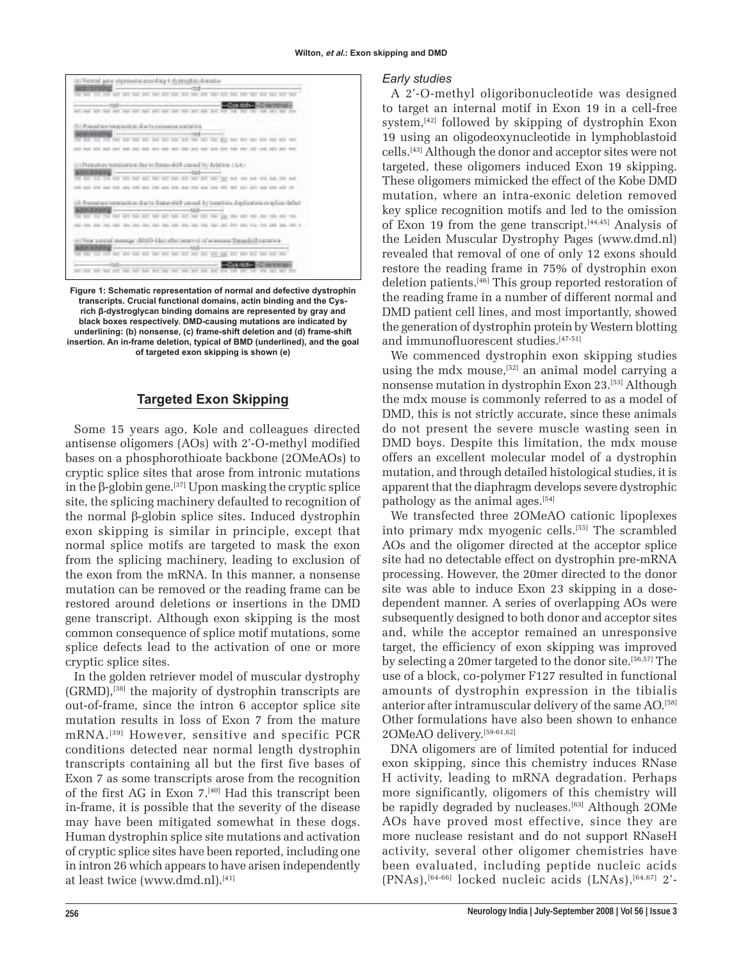

**Figure 1: Schematic representation of normal and defective dystrophin transcripts. Crucial functional domains, actin binding and the Cysrich β-dystroglycan binding domains are represented by gray and black boxes respectively. DMD-causing mutations are indicated by underlining: (b) nonsense, (c) frame-shift deletion and (d) frame-shift insertion. An in-frame deletion, typical of BMD (underlined), and the goal of targeted exon skipping is shown (e)**

#### **Targeted Exon Skipping**

Some 15 years ago, Kole and colleagues directed antisense oligomers (AOs) with 2'-O-methyl modified bases on a phosphorothioate backbone (2OMeAOs) to cryptic splice sites that arose from intronic mutations in the β-globin gene.<sup>[37]</sup> Upon masking the cryptic splice site, the splicing machinery defaulted to recognition of the normal β-globin splice sites. Induced dystrophin exon skipping is similar in principle, except that normal splice motifs are targeted to mask the exon from the splicing machinery, leading to exclusion of the exon from the mRNA. In this manner, a nonsense mutation can be removed or the reading frame can be restored around deletions or insertions in the DMD gene transcript. Although exon skipping is the most common consequence of splice motif mutations, some splice defects lead to the activation of one or more cryptic splice sites.

In the golden retriever model of muscular dystrophy (GRMD),[38] the majority of dystrophin transcripts are out-of-frame, since the intron 6 acceptor splice site mutation results in loss of Exon 7 from the mature mRNA.[39] However, sensitive and specific PCR conditions detected near normal length dystrophin transcripts containing all but the first five bases of Exon 7 as some transcripts arose from the recognition of the first AG in Exon 7.[40] Had this transcript been in-frame, it is possible that the severity of the disease may have been mitigated somewhat in these dogs. Human dystrophin splice site mutations and activation of cryptic splice sites have been reported, including one in intron 26 which appears to have arisen independently at least twice (www.dmd.nl).[41]

#### *Early studies*

A 2í-O-methyl oligoribonucleotide was designed to target an internal motif in Exon 19 in a cell-free system,[42] followed by skipping of dystrophin Exon 19 using an oligodeoxynucleotide in lymphoblastoid cells.[43] Although the donor and acceptor sites were not targeted, these oligomers induced Exon 19 skipping. These oligomers mimicked the effect of the Kobe DMD mutation, where an intra-exonic deletion removed key splice recognition motifs and led to the omission of Exon 19 from the gene transcript. $[44,45]$  Analysis of the Leiden Muscular Dystrophy Pages (www.dmd.nl) revealed that removal of one of only 12 exons should restore the reading frame in 75% of dystrophin exon deletion patients.[46] This group reported restoration of the reading frame in a number of different normal and DMD patient cell lines, and most importantly, showed the generation of dystrophin protein by Western blotting and immunofluorescent studies.[47-51]

We commenced dystrophin exon skipping studies using the mdx mouse,<sup>[52]</sup> an animal model carrying a nonsense mutation in dystrophin Exon 23.[53] Although the mdx mouse is commonly referred to as a model of DMD, this is not strictly accurate, since these animals do not present the severe muscle wasting seen in DMD boys. Despite this limitation, the mdx mouse offers an excellent molecular model of a dystrophin mutation, and through detailed histological studies, it is apparent that the diaphragm develops severe dystrophic pathology as the animal ages.[54]

We transfected three 2OMeAO cationic lipoplexes into primary mdx myogenic cells.<sup>[55]</sup> The scrambled AOs and the oligomer directed at the acceptor splice site had no detectable effect on dystrophin pre-mRNA processing. However, the 20mer directed to the donor site was able to induce Exon 23 skipping in a dosedependent manner. A series of overlapping AOs were subsequently designed to both donor and acceptor sites and, while the acceptor remained an unresponsive target, the efficiency of exon skipping was improved by selecting a 20mer targeted to the donor site.[56,57] The use of a block, co-polymer F127 resulted in functional amounts of dystrophin expression in the tibialis anterior after intramuscular delivery of the same AO.[58] Other formulations have also been shown to enhance 2OMeAO delivery.[59-61,62]

DNA oligomers are of limited potential for induced exon skipping, since this chemistry induces RNase H activity, leading to mRNA degradation. Perhaps more significantly, oligomers of this chemistry will be rapidly degraded by nucleases.<sup>[63]</sup> Although 2OMe AOs have proved most effective, since they are more nuclease resistant and do not support RNaseH activity, several other oligomer chemistries have been evaluated, including peptide nucleic acids  $(PNAs),$ <sup>[64-66]</sup> locked nucleic acids  $(LNAs),$ <sup>[64,67]</sup> 2<sup>'</sup>-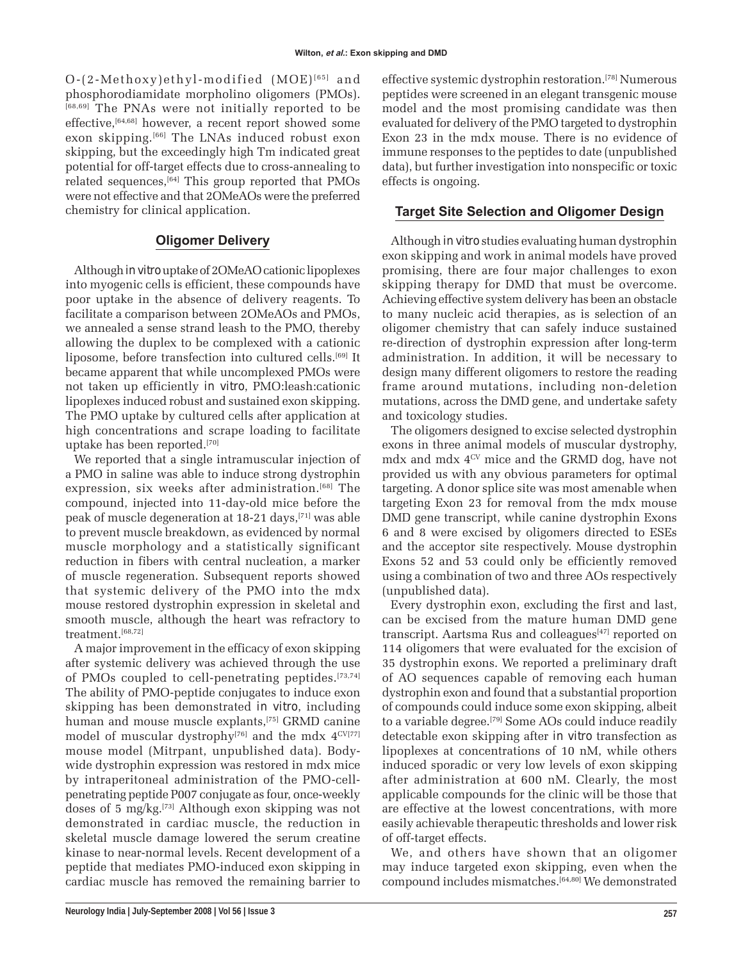$O-(2-Methoxy)ethyl-modified (MOE)^{[65]}$  and phosphorodiamidate morpholino oligomers (PMOs). [68,69] The PNAs were not initially reported to be effective, [64,68] however, a recent report showed some exon skipping.<sup>[66]</sup> The LNAs induced robust exon skipping, but the exceedingly high Tm indicated great potential for off-target effects due to cross-annealing to related sequences, $^{[64]}$  This group reported that PMOs were not effective and that 2OMeAOs were the preferred chemistry for clinical application.

#### **Oligomer Delivery**

Although *in vitro* uptake of 2OMeAO cationic lipoplexes into myogenic cells is efficient, these compounds have poor uptake in the absence of delivery reagents. To facilitate a comparison between 2OMeAOs and PMOs, we annealed a sense strand leash to the PMO, thereby allowing the duplex to be complexed with a cationic liposome, before transfection into cultured cells.<sup>[69]</sup> It became apparent that while uncomplexed PMOs were not taken up efficiently *in vitro*, PMO:leash:cationic lipoplexes induced robust and sustained exon skipping. The PMO uptake by cultured cells after application at high concentrations and scrape loading to facilitate uptake has been reported.[70]

We reported that a single intramuscular injection of a PMO in saline was able to induce strong dystrophin expression, six weeks after administration.<sup>[68]</sup> The compound, injected into 11-day-old mice before the peak of muscle degeneration at 18-21 days,[71] was able to prevent muscle breakdown, as evidenced by normal muscle morphology and a statistically significant reduction in fibers with central nucleation, a marker of muscle regeneration. Subsequent reports showed that systemic delivery of the PMO into the mdx mouse restored dystrophin expression in skeletal and smooth muscle, although the heart was refractory to treatment.[68,72]

A major improvement in the efficacy of exon skipping after systemic delivery was achieved through the use of PMOs coupled to cell-penetrating peptides.[73,74] The ability of PMO-peptide conjugates to induce exon skipping has been demonstrated *in vitro*, including human and mouse muscle explants,[75] GRMD canine model of muscular dystrophy<sup>[76]</sup> and the mdx  $4^{\text{CV}[77]}$ mouse model (Mitrpant, unpublished data). Bodywide dystrophin expression was restored in mdx mice by intraperitoneal administration of the PMO-cellpenetrating peptide P007 conjugate as four, once-weekly doses of 5 mg/kg.[73] Although exon skipping was not demonstrated in cardiac muscle, the reduction in skeletal muscle damage lowered the serum creatine kinase to near-normal levels. Recent development of a peptide that mediates PMO-induced exon skipping in cardiac muscle has removed the remaining barrier to effective systemic dystrophin restoration.[78] Numerous peptides were screened in an elegant transgenic mouse model and the most promising candidate was then evaluated for delivery of the PMO targeted to dystrophin Exon 23 in the mdx mouse. There is no evidence of immune responses to the peptides to date (unpublished data), but further investigation into nonspecific or toxic effects is ongoing.

#### **Target Site Selection and Oligomer Design**

Although *in vitro* studies evaluating human dystrophin exon skipping and work in animal models have proved promising, there are four major challenges to exon skipping therapy for DMD that must be overcome. Achieving effective system delivery has been an obstacle to many nucleic acid therapies, as is selection of an oligomer chemistry that can safely induce sustained re-direction of dystrophin expression after long-term administration. In addition, it will be necessary to design many different oligomers to restore the reading frame around mutations, including non-deletion mutations, across the DMD gene, and undertake safety and toxicology studies.

The oligomers designed to excise selected dystrophin exons in three animal models of muscular dystrophy, mdx and mdx 4CV mice and the GRMD dog, have not provided us with any obvious parameters for optimal targeting. A donor splice site was most amenable when targeting Exon 23 for removal from the mdx mouse DMD gene transcript, while canine dystrophin Exons 6 and 8 were excised by oligomers directed to ESEs and the acceptor site respectively. Mouse dystrophin Exons 52 and 53 could only be efficiently removed using a combination of two and three AOs respectively (unpublished data).

Every dystrophin exon, excluding the first and last, can be excised from the mature human DMD gene transcript. Aartsma Rus and colleagues<sup>[47]</sup> reported on 114 oligomers that were evaluated for the excision of 35 dystrophin exons. We reported a preliminary draft of AO sequences capable of removing each human dystrophin exon and found that a substantial proportion of compounds could induce some exon skipping, albeit to a variable degree.<sup>[79]</sup> Some AOs could induce readily detectable exon skipping after *in vitro* transfection as lipoplexes at concentrations of 10 nM, while others induced sporadic or very low levels of exon skipping after administration at 600 nM. Clearly, the most applicable compounds for the clinic will be those that are effective at the lowest concentrations, with more easily achievable therapeutic thresholds and lower risk of off-target effects.

We, and others have shown that an oligomer may induce targeted exon skipping, even when the compound includes mismatches.[64,80] We demonstrated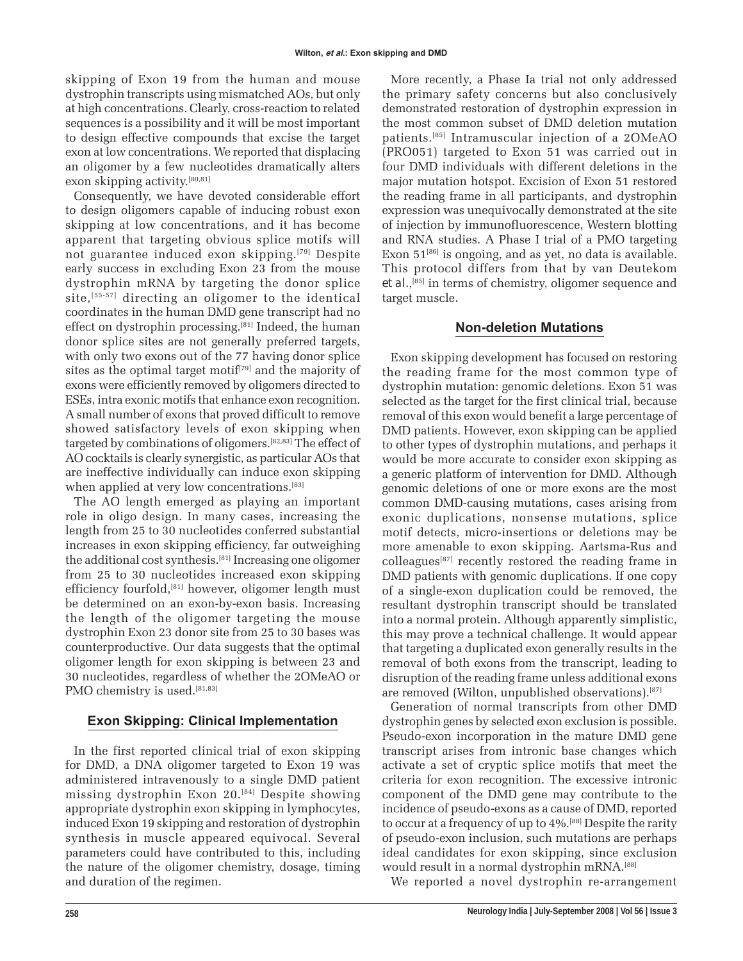skipping of Exon 19 from the human and mouse dystrophin transcripts using mismatched AOs, but only at high concentrations. Clearly, cross-reaction to related sequences is a possibility and it will be most important to design effective compounds that excise the target exon at low concentrations. We reported that displacing an oligomer by a few nucleotides dramatically alters exon skipping activity.[80,81]

Consequently, we have devoted considerable effort to design oligomers capable of inducing robust exon skipping at low concentrations, and it has become apparent that targeting obvious splice motifs will not guarantee induced exon skipping.[79] Despite early success in excluding Exon 23 from the mouse dystrophin mRNA by targeting the donor splice site, $[55-57]$  directing an oligomer to the identical coordinates in the human DMD gene transcript had no effect on dystrophin processing.<sup>[81]</sup> Indeed, the human donor splice sites are not generally preferred targets, with only two exons out of the 77 having donor splice sites as the optimal target motif<sup>[79]</sup> and the majority of exons were efficiently removed by oligomers directed to ESEs, intra exonic motifs that enhance exon recognition. A small number of exons that proved difficult to remove showed satisfactory levels of exon skipping when targeted by combinations of oligomers.[82,83] The effect of AO cocktails is clearly synergistic, as particular AOs that are ineffective individually can induce exon skipping when applied at very low concentrations.<sup>[83]</sup>

The AO length emerged as playing an important role in oligo design. In many cases, increasing the length from 25 to 30 nucleotides conferred substantial increases in exon skipping efficiency, far outweighing the additional cost synthesis.[81] Increasing one oligomer from 25 to 30 nucleotides increased exon skipping efficiency fourfold,[81] however, oligomer length must be determined on an exon-by-exon basis. Increasing the length of the oligomer targeting the mouse dystrophin Exon 23 donor site from 25 to 30 bases was counterproductive. Our data suggests that the optimal oligomer length for exon skipping is between 23 and 30 nucleotides, regardless of whether the 2OMeAO or PMO chemistry is used.<sup>[81,83]</sup>

## **Exon Skipping: Clinical Implementation**

In the first reported clinical trial of exon skipping for DMD, a DNA oligomer targeted to Exon 19 was administered intravenously to a single DMD patient missing dystrophin Exon 20.[84] Despite showing appropriate dystrophin exon skipping in lymphocytes, induced Exon 19 skipping and restoration of dystrophin synthesis in muscle appeared equivocal. Several parameters could have contributed to this, including the nature of the oligomer chemistry, dosage, timing and duration of the regimen.

More recently, a Phase Ia trial not only addressed the primary safety concerns but also conclusively demonstrated restoration of dystrophin expression in the most common subset of DMD deletion mutation patients.[85] Intramuscular injection of a 2OMeAO (PRO051) targeted to Exon 51 was carried out in four DMD individuals with different deletions in the major mutation hotspot. Excision of Exon 51 restored the reading frame in all participants, and dystrophin expression was unequivocally demonstrated at the site of injection by immunofluorescence, Western blotting and RNA studies. A Phase I trial of a PMO targeting Exon  $51^{[86]}$  is ongoing, and as yet, no data is available. This protocol differs from that by van Deutekom et al.,<sup>[85]</sup> in terms of chemistry, oligomer sequence and target muscle.

## **Non-deletion Mutations**

Exon skipping development has focused on restoring the reading frame for the most common type of dystrophin mutation: genomic deletions. Exon 51 was selected as the target for the first clinical trial, because removal of this exon would benefit a large percentage of DMD patients. However, exon skipping can be applied to other types of dystrophin mutations, and perhaps it would be more accurate to consider exon skipping as a generic platform of intervention for DMD. Although genomic deletions of one or more exons are the most common DMD-causing mutations, cases arising from exonic duplications, nonsense mutations, splice motif detects, micro-insertions or deletions may be more amenable to exon skipping. Aartsma-Rus and colleagues[87] recently restored the reading frame in DMD patients with genomic duplications. If one copy of a single-exon duplication could be removed, the resultant dystrophin transcript should be translated into a normal protein. Although apparently simplistic, this may prove a technical challenge. It would appear that targeting a duplicated exon generally results in the removal of both exons from the transcript, leading to disruption of the reading frame unless additional exons are removed (Wilton, unpublished observations).[87]

Generation of normal transcripts from other DMD dystrophin genes by selected exon exclusion is possible. Pseudo-exon incorporation in the mature DMD gene transcript arises from intronic base changes which activate a set of cryptic splice motifs that meet the criteria for exon recognition. The excessive intronic component of the DMD gene may contribute to the incidence of pseudo-exons as a cause of DMD, reported to occur at a frequency of up to 4%.[88] Despite the rarity of pseudo-exon inclusion, such mutations are perhaps ideal candidates for exon skipping, since exclusion would result in a normal dystrophin mRNA.[88]

We reported a novel dystrophin re-arrangement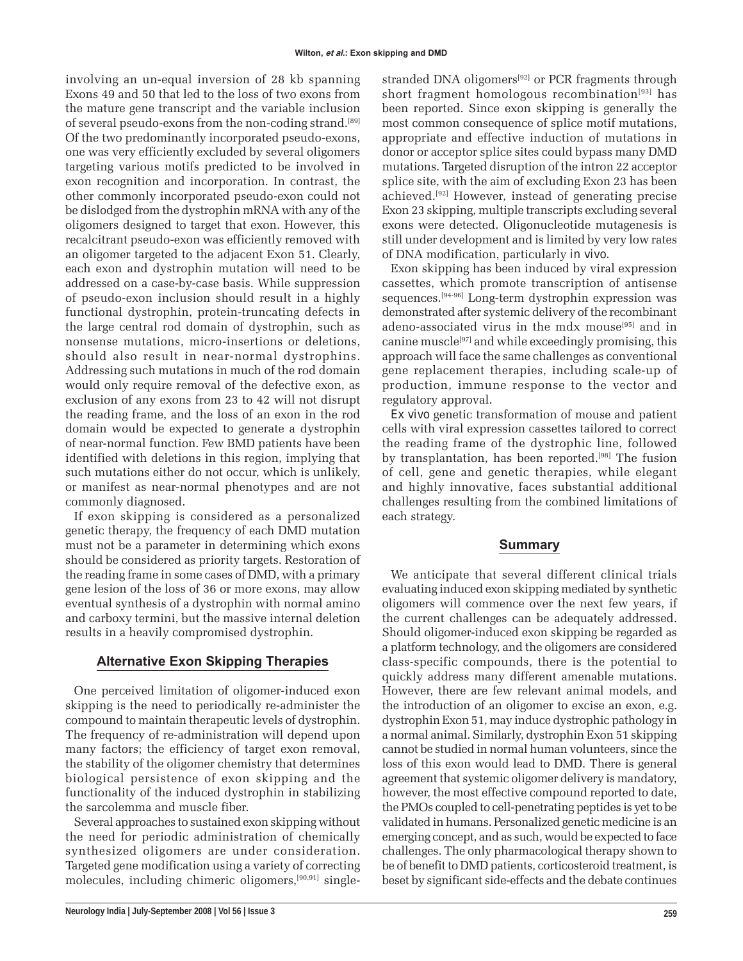involving an un-equal inversion of 28 kb spanning Exons 49 and 50 that led to the loss of two exons from the mature gene transcript and the variable inclusion of several pseudo-exons from the non-coding strand.[89] Of the two predominantly incorporated pseudo-exons, one was very efficiently excluded by several oligomers targeting various motifs predicted to be involved in exon recognition and incorporation. In contrast, the other commonly incorporated pseudo-exon could not be dislodged from the dystrophin mRNA with any of the oligomers designed to target that exon. However, this recalcitrant pseudo-exon was efficiently removed with an oligomer targeted to the adjacent Exon 51. Clearly, each exon and dystrophin mutation will need to be addressed on a case-by-case basis. While suppression of pseudo-exon inclusion should result in a highly functional dystrophin, protein-truncating defects in the large central rod domain of dystrophin, such as nonsense mutations, micro-insertions or deletions, should also result in near-normal dystrophins. Addressing such mutations in much of the rod domain would only require removal of the defective exon, as exclusion of any exons from 23 to 42 will not disrupt the reading frame, and the loss of an exon in the rod domain would be expected to generate a dystrophin of near-normal function. Few BMD patients have been identified with deletions in this region, implying that such mutations either do not occur, which is unlikely, or manifest as near-normal phenotypes and are not commonly diagnosed.

If exon skipping is considered as a personalized genetic therapy, the frequency of each DMD mutation must not be a parameter in determining which exons should be considered as priority targets. Restoration of the reading frame in some cases of DMD, with a primary gene lesion of the loss of 36 or more exons, may allow eventual synthesis of a dystrophin with normal amino and carboxy termini, but the massive internal deletion results in a heavily compromised dystrophin.

#### **Alternative Exon Skipping Therapies**

One perceived limitation of oligomer-induced exon skipping is the need to periodically re-administer the compound to maintain therapeutic levels of dystrophin. The frequency of re-administration will depend upon many factors; the efficiency of target exon removal, the stability of the oligomer chemistry that determines biological persistence of exon skipping and the functionality of the induced dystrophin in stabilizing the sarcolemma and muscle fiber.

Several approaches to sustained exon skipping without the need for periodic administration of chemically synthesized oligomers are under consideration. Targeted gene modification using a variety of correcting molecules, including chimeric oligomers,[90,91] singlestranded DNA oligomers<sup>[92]</sup> or PCR fragments through short fragment homologous recombination<sup>[93]</sup> has been reported. Since exon skipping is generally the most common consequence of splice motif mutations, appropriate and effective induction of mutations in donor or acceptor splice sites could bypass many DMD mutations. Targeted disruption of the intron 22 acceptor splice site, with the aim of excluding Exon 23 has been achieved.[92] However, instead of generating precise Exon 23 skipping, multiple transcripts excluding several exons were detected. Oligonucleotide mutagenesis is still under development and is limited by very low rates of DNA modification, particularly *in vivo.*

Exon skipping has been induced by viral expression cassettes, which promote transcription of antisense sequences.[94-96] Long-term dystrophin expression was demonstrated after systemic delivery of the recombinant adeno-associated virus in the mdx mouse<sup>[95]</sup> and in canine muscle<sup>[97]</sup> and while exceedingly promising, this approach will face the same challenges as conventional gene replacement therapies, including scale-up of production, immune response to the vector and regulatory approval.

*Ex vivo* genetic transformation of mouse and patient cells with viral expression cassettes tailored to correct the reading frame of the dystrophic line, followed by transplantation, has been reported.[98] The fusion of cell, gene and genetic therapies, while elegant and highly innovative, faces substantial additional challenges resulting from the combined limitations of each strategy.

#### **Summary**

We anticipate that several different clinical trials evaluating induced exon skipping mediated by synthetic oligomers will commence over the next few years, if the current challenges can be adequately addressed. Should oligomer-induced exon skipping be regarded as a platform technology, and the oligomers are considered class-specific compounds, there is the potential to quickly address many different amenable mutations. However, there are few relevant animal models, and the introduction of an oligomer to excise an exon, e.g. dystrophin Exon 51, may induce dystrophic pathology in a normal animal. Similarly, dystrophin Exon 51 skipping cannot be studied in normal human volunteers, since the loss of this exon would lead to DMD. There is general agreement that systemic oligomer delivery is mandatory, however, the most effective compound reported to date, the PMOs coupled to cell-penetrating peptides is yet to be validated in humans. Personalized genetic medicine is an emerging concept, and as such, would be expected to face challenges. The only pharmacological therapy shown to be of benefit to DMD patients, corticosteroid treatment, is beset by significant side-effects and the debate continues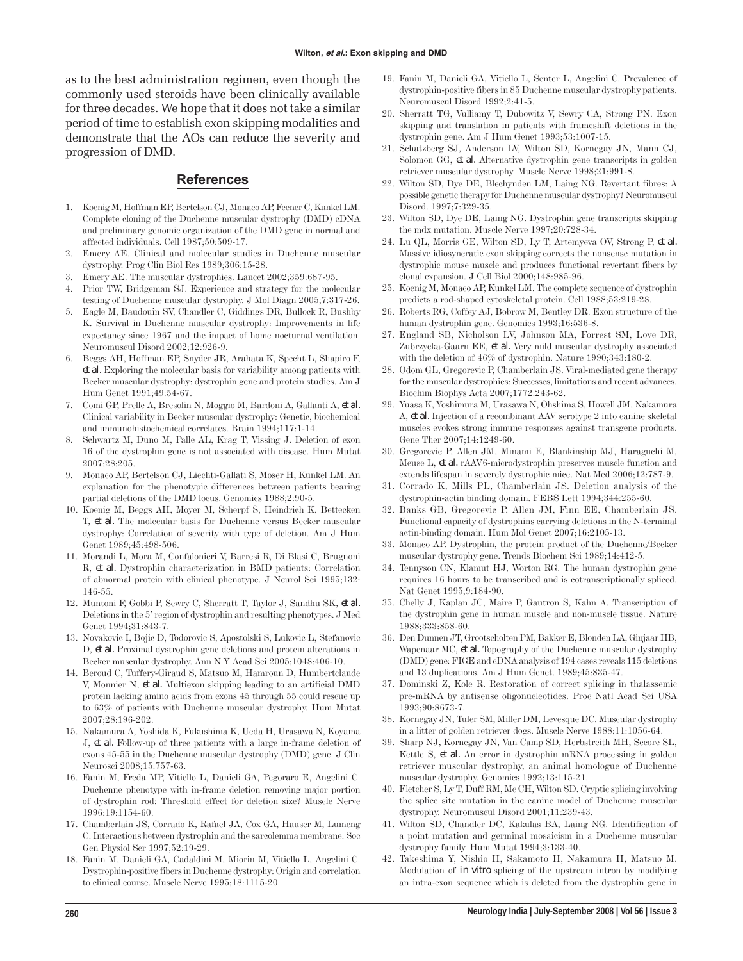as to the best administration regimen, even though the commonly used steroids have been clinically available for three decades. We hope that it does not take a similar period of time to establish exon skipping modalities and demonstrate that the AOs can reduce the severity and progression of DMD.

#### **References**

- 1. Koenig M, Hoffman EP, Bertelson CJ, Monaco AP, Feener C, Kunkel LM. Complete cloning of the Duchenne muscular dystrophy (DMD) cDNA and preliminary genomic organization of the DMD gene in normal and affected individuals. Cell 1987;50:509-17.
- 2. Emery AE. Clinical and molecular studies in Duchenne muscular dystrophy. Prog Clin Biol Res 1989;306:15-28.
- 3. Emery AE. The muscular dystrophies. Lancet 2002;359:687-95.
- 4. Prior TW, Bridgeman SJ. Experience and strategy for the molecular testing of Duchenne muscular dystrophy. J Mol Diagn 2005;7:317-26.
- 5. Eagle M, Baudouin SV, Chandler C, Giddings DR, Bullock R, Bushby K. Survival in Duchenne muscular dystrophy: Improvements in life expectancy since 1967 and the impact of home nocturnal ventilation. Neuromuscul Disord 2002;12:926-9.
- 6. Beggs AH, Hoffman EP, Snyder JR, Arahata K, Specht L, Shapiro F, *et al.* Exploring the molecular basis for variability among patients with Becker muscular dystrophy: dystrophin gene and protein studies. Am J Hum Genet 1991;49:54-67.
- 7. Comi GP, Prelle A, Bresolin N, Moggio M, Bardoni A, Gallanti A, *et al.* Clinical variability in Becker muscular dystrophy: Genetic, biochemical and immunohistochemical correlates. Brain 1994;117:1-14.
- 8. Schwartz M, Duno M, Palle AL, Krag T, Vissing J. Deletion of exon 16 of the dystrophin gene is not associated with disease. Hum Mutat 2007;28:205.
- 9. Monaco AP, Bertelson CJ, Liechti-Gallati S, Moser H, Kunkel LM. An explanation for the phenotypic differences between patients bearing partial deletions of the DMD locus. Genomics 1988;2:90-5.
- 10. Koenig M, Beggs AH, Moyer M, Scherpf S, Heindrich K, Bettecken T, *et al.* The molecular basis for Duchenne versus Becker muscular dystrophy: Correlation of severity with type of deletion. Am J Hum Genet 1989;45:498-506.
- 11. Morandi L, Mora M, Confalonieri V, Barresi R, Di Blasi C, Brugnoni R, *et al.* Dystrophin characterization in BMD patients: Correlation of abnormal protein with clinical phenotype. J Neurol Sci 1995;132: 146-55.
- 12. Muntoni F, Gobbi P, Sewry C, Sherratt T, Taylor J, Sandhu SK, *et al.* Deletions in the 5í region of dystrophin and resulting phenotypes. J Med Genet 1994;31:843-7.
- 13. Novakovic I, Bojic D, Todorovic S, Apostolski S, Lukovic L, Stefanovic D, *et al.* Proximal dystrophin gene deletions and protein alterations in Becker muscular dystrophy. Ann N Y Acad Sci 2005;1048:406-10.
- 14. Beroud C, Tuffery-Giraud S, Matsuo M, Hamroun D, Humbertclaude V, Monnier N, *et al.* Multiexon skipping leading to an artificial DMD protein lacking amino acids from exons 45 through 55 could rescue up to 63% of patients with Duchenne muscular dystrophy. Hum Mutat 2007;28:196-202.
- 15. Nakamura A, Yoshida K, Fukushima K, Ueda H, Urasawa N, Koyama J, *et al.* Follow-up of three patients with a large in-frame deletion of exons 45-55 in the Duchenne muscular dystrophy (DMD) gene. J Clin Neurosci 2008;15:757-63.
- 16. Fanin M, Freda MP, Vitiello L, Danieli GA, Pegoraro E, Angelini C. Duchenne phenotype with in-frame deletion removing major portion of dystrophin rod: Threshold effect for deletion size? Muscle Nerve 1996;19:1154-60.
- 17. Chamberlain JS, Corrado K, Rafael JA, Cox GA, Hauser M, Lumeng C. Interactions between dystrophin and the sarcolemma membrane. Soc Gen Physiol Ser 1997;52:19-29.
- 18. Fanin M, Danieli GA, Cadaldini M, Miorin M, Vitiello L, Angelini C. Dystrophin-positive fibers in Duchenne dystrophy: Origin and correlation to clinical course. Muscle Nerve 1995;18:1115-20.
- 19. Fanin M, Danieli GA, Vitiello L, Senter L, Angelini C. Prevalence of dystrophin-positive fibers in 85 Duchenne muscular dystrophy patients. Neuromuscul Disord 1992;2:41-5.
- 20. Sherratt TG, Vulliamy T, Dubowitz V, Sewry CA, Strong PN. Exon skipping and translation in patients with frameshift deletions in the dystrophin gene. Am J Hum Genet 1993;53:1007-15.
- 21. Schatzberg SJ, Anderson LV, Wilton SD, Kornegay JN, Mann CJ, Solomon GG, *et al.* Alternative dystrophin gene transcripts in golden retriever muscular dystrophy. Muscle Nerve 1998;21:991-8.
- 22. Wilton SD, Dye DE, Blechynden LM, Laing NG. Revertant fibres: A possible genetic therapy for Duchenne muscular dystrophy? Neuromuscul Disord. 1997;7:329-35.
- 23. Wilton SD, Dye DE, Laing NG. Dystrophin gene transcripts skipping the mdx mutation. Muscle Nerve 1997;20:728-34.
- 24. Lu QL, Morris GE, Wilton SD, Ly T, Artemyeva OV, Strong P, *et al.* Massive idiosyncratic exon skipping corrects the nonsense mutation in dystrophic mouse muscle and produces functional revertant fibers by clonal expansion. J Cell Biol 2000;148:985-96.
- 25. Koenig M, Monaco AP, Kunkel LM. The complete sequence of dystrophin predicts a rod-shaped cytoskeletal protein. Cell 1988;53:219-28.
- 26. Roberts RG, Coffey AJ, Bobrow M, Bentley DR. Exon structure of the human dystrophin gene. Genomics 1993;16:536-8.
- 27. England SB, Nicholson LV, Johnson MA, Forrest SM, Love DR, Zubrzycka-Gaarn EE, *et al.* Very mild muscular dystrophy associated with the deletion of 46% of dystrophin. Nature 1990;343:180-2.
- 28. Odom GL, Gregorevic P, Chamberlain JS. Viral-mediated gene therapy for the muscular dystrophies: Successes, limitations and recent advances. Biochim Biophys Acta 2007;1772:243-62.
- 29. Yuasa K, Yoshimura M, Urasawa N, Ohshima S, Howell JM, Nakamura A, *et al.* Injection of a recombinant AAV serotype 2 into canine skeletal muscles evokes strong immune responses against transgene products. Gene Ther 2007;14:1249-60.
- 30. Gregorevic P, Allen JM, Minami E, Blankinship MJ, Haraguchi M, Meuse L, *et al.* rAAV6-microdystrophin preserves muscle function and extends lifespan in severely dystrophic mice. Nat Med 2006;12:787-9.
- 31. Corrado K, Mills PL, Chamberlain JS. Deletion analysis of the dystrophin-actin binding domain. FEBS Lett 1994;344:255-60.
- 32. Banks GB, Gregorevic P, Allen JM, Finn EE, Chamberlain JS. Functional capacity of dystrophins carrying deletions in the N-terminal actin-binding domain. Hum Mol Genet 2007;16:2105-13.
- 33. Monaco AP. Dystrophin, the protein product of the Duchenne/Becker muscular dystrophy gene. Trends Biochem Sci 1989;14:412-5.
- 34. Tennyson CN, Klamut HJ, Worton RG. The human dystrophin gene requires 16 hours to be transcribed and is cotranscriptionally spliced. Nat Genet 1995;9:184-90.
- 35. Chelly J, Kaplan JC, Maire P, Gautron S, Kahn A. Transcription of the dystrophin gene in human muscle and non-muscle tissue. Nature 1988;333:858-60.
- 36. Den Dunnen JT, Grootscholten PM, Bakker E, Blonden LA, Ginjaar HB, Wapenaar MC, *et al.* Topography of the Duchenne muscular dystrophy (DMD) gene: FIGE and cDNA analysis of 194 cases reveals 115 deletions and 13 duplications. Am J Hum Genet. 1989;45:835-47.
- 37. Dominski Z, Kole R. Restoration of correct splicing in thalassemic pre-mRNA by antisense oligonucleotides. Proc Natl Acad Sci USA 1993;90:8673-7.
- 38. Kornegay JN, Tuler SM, Miller DM, Levesque DC. Muscular dystrophy in a litter of golden retriever dogs. Muscle Nerve 1988;11:1056-64.
- 39. Sharp NJ, Kornegay JN, Van Camp SD, Herbstreith MH, Secore SL, Kettle S, *et al.* An error in dystrophin mRNA processing in golden retriever muscular dystrophy, an animal homologue of Duchenne muscular dystrophy. Genomics 1992;13:115-21.
- 40. Fletcher S, Ly T, Duff RM, Mc CH, Wilton SD. Cryptic splicing involving the splice site mutation in the canine model of Duchenne muscular dystrophy. Neuromuscul Disord 2001;11:239-43.
- 41. Wilton SD, Chandler DC, Kakulas BA, Laing NG. Identification of a point mutation and germinal mosaicism in a Duchenne muscular dystrophy family. Hum Mutat 1994;3:133-40.
- 42. Takeshima Y, Nishio H, Sakamoto H, Nakamura H, Matsuo M. Modulation of *in vitro* splicing of the upstream intron by modifying an intra-exon sequence which is deleted from the dystrophin gene in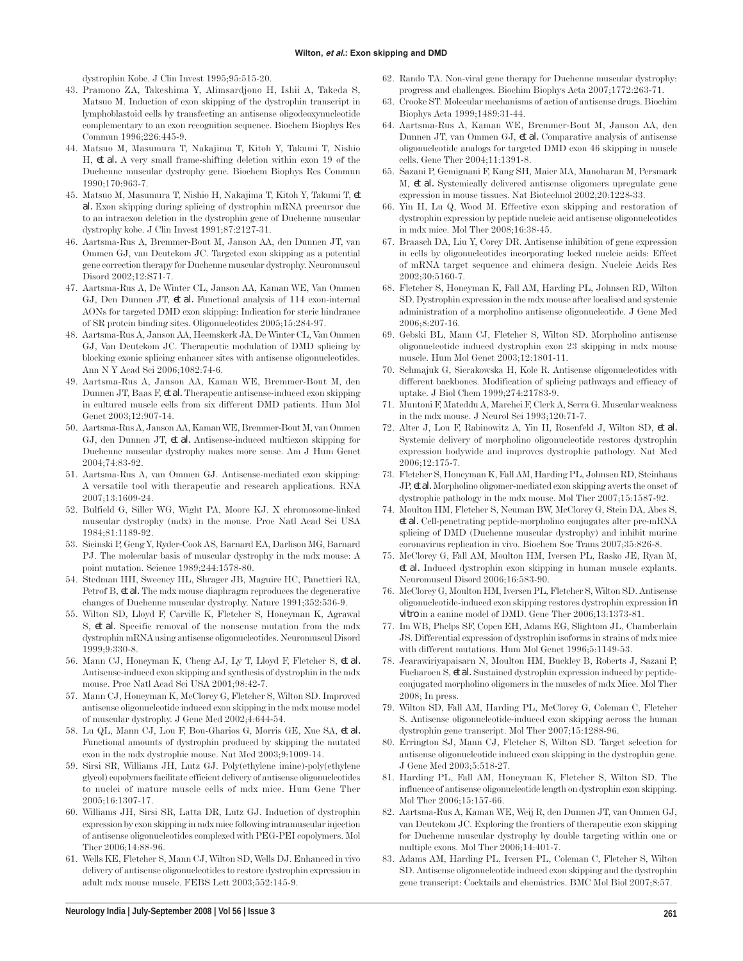dystrophin Kobe. J Clin Invest 1995;95:515-20.

- 43. Pramono ZA, Takeshima Y, Alimsardjono H, Ishii A, Takeda S, Matsuo M. Induction of exon skipping of the dystrophin transcript in lymphoblastoid cells by transfecting an antisense oligodeoxynucleotide complementary to an exon recognition sequence. Biochem Biophys Res Commun 1996;226:445-9.
- 44. Matsuo M, Masumura T, Nakajima T, Kitoh Y, Takumi T, Nishio H, *et al.* A very small frame-shifting deletion within exon 19 of the Duchenne muscular dystrophy gene. Biochem Biophys Res Commun 1990;170:963-7.
- 45. Matsuo M, Masumura T, Nishio H, Nakajima T, Kitoh Y, Takumi T, *et al.* Exon skipping during splicing of dystrophin mRNA precursor due to an intraexon deletion in the dystrophin gene of Duchenne muscular dystrophy kobe. J Clin Invest 1991;87:2127-31.
- 46. Aartsma-Rus A, Bremmer-Bout M, Janson AA, den Dunnen JT, van Ommen GJ, van Deutekom JC. Targeted exon skipping as a potential gene correction therapy for Duchenne muscular dystrophy. Neuromuscul Disord 2002;12:S71-7.
- 47. Aartsma-Rus A, De Winter CL, Janson AA, Kaman WE, Van Ommen GJ, Den Dunnen JT, *et al.* Functional analysis of 114 exon-internal AONs for targeted DMD exon skipping: Indication for steric hindrance of SR protein binding sites. Oligonucleotides 2005;15:284-97.
- 48. Aartsma-Rus A, Janson AA, Heemskerk JA, De Winter CL, Van Ommen GJ, Van Deutekom JC. Therapeutic modulation of DMD splicing by blocking exonic splicing enhancer sites with antisense oligonucleotides. Ann N Y Acad Sci 2006;1082:74-6.
- 49. Aartsma-Rus A, Janson AA, Kaman WE, Bremmer-Bout M, den Dunnen JT, Baas F, *et al.* Therapeutic antisense-induced exon skipping in cultured muscle cells from six different DMD patients. Hum Mol Genet 2003;12:907-14.
- 50. Aartsma-Rus A, Janson AA, Kaman WE, Bremmer-Bout M, van Ommen GJ, den Dunnen JT, *et al.* Antisense-induced multiexon skipping for Duchenne muscular dystrophy makes more sense. Am J Hum Genet 2004;74:83-92.
- 51. Aartsma-Rus A, van Ommen GJ. Antisense-mediated exon skipping: A versatile tool with therapeutic and research applications. RNA 2007;13:1609-24.
- 52. Bulfield G, Siller WG, Wight PA, Moore KJ. X chromosome-linked muscular dystrophy (mdx) in the mouse. Proc Natl Acad Sci USA 1984;81:1189-92.
- 53. Sicinski P, Geng Y, Ryder-Cook AS, Barnard EA, Darlison MG, Barnard PJ. The molecular basis of muscular dystrophy in the mdx mouse: A point mutation. Science 1989;244:1578-80.
- 54. Stedman HH, Sweeney HL, Shrager JB, Maguire HC, Panettieri RA, Petrof B, *et al.* The mdx mouse diaphragm reproduces the degenerative changes of Duchenne muscular dystrophy. Nature 1991;352:536-9.
- 55. Wilton SD, Lloyd F, Carville K, Fletcher S, Honeyman K, Agrawal S, *et al.* Specific removal of the nonsense mutation from the mdx dystrophin mRNA using antisense oligonucleotides. Neuromuscul Disord 1999;9:330-8.
- 56. Mann CJ, Honeyman K, Cheng AJ, Ly T, Lloyd F, Fletcher S, *et al.* Antisense-induced exon skipping and synthesis of dystrophin in the mdx mouse. Proc Natl Acad Sci USA 2001;98:42-7.
- 57. Mann CJ, Honeyman K, McClorey G, Fletcher S, Wilton SD. Improved antisense oligonucleotide induced exon skipping in the mdx mouse model of muscular dystrophy. J Gene Med 2002;4:644-54.
- 58. Lu QL, Mann CJ, Lou F, Bou-Gharios G, Morris GE, Xue SA, *et al.* Functional amounts of dystrophin produced by skipping the mutated exon in the mdx dystrophic mouse. Nat Med 2003;9:1009-14.
- 59. Sirsi SR, Williams JH, Lutz GJ. Poly(ethylene imine)-poly(ethylene glycol) copolymers facilitate efficient delivery of antisense oligonucleotides to nuclei of mature muscle cells of mdx mice. Hum Gene Ther 2005;16:1307-17.
- 60. Williams JH, Sirsi SR, Latta DR, Lutz GJ. Induction of dystrophin expression by exon skipping in mdx mice following intramuscular injection of antisense oligonucleotides complexed with PEG-PEI copolymers. Mol Ther 2006;14:88-96.
- 61. Wells KE, Fletcher S, Mann CJ, Wilton SD, Wells DJ. Enhanced in vivo delivery of antisense oligonucleotides to restore dystrophin expression in adult mdx mouse muscle. FEBS Lett 2003;552:145-9.
- 62. Rando TA. Non-viral gene therapy for Duchenne muscular dystrophy: progress and challenges. Biochim Biophys Acta 2007;1772:263-71.
- 63. Crooke ST. Molecular mechanisms of action of antisense drugs. Biochim Biophys Acta 1999;1489:31-44.
- 64. Aartsma-Rus A, Kaman WE, Bremmer-Bout M, Janson AA, den Dunnen JT, van Ommen GJ, *et al.* Comparative analysis of antisense oligonucleotide analogs for targeted DMD exon 46 skipping in muscle cells. Gene Ther 2004;11:1391-8.
- 65. Sazani P, Gemignani F, Kang SH, Maier MA, Manoharan M, Persmark M, *et al.* Systemically delivered antisense oligomers upregulate gene expression in mouse tissues. Nat Biotechnol 2002;20:1228-33.
- 66. Yin H, Lu Q, Wood M. Effective exon skipping and restoration of dystrophin expression by peptide nucleic acid antisense oligonucleotides in mdx mice. Mol Ther 2008;16:38-45.
- 67. Braasch DA, Liu Y, Corey DR. Antisense inhibition of gene expression in cells by oligonucleotides incorporating locked nucleic acids: Effect of mRNA target sequence and chimera design. Nucleic Acids Res 2002;30:5160-7.
- 68. Fletcher S, Honeyman K, Fall AM, Harding PL, Johnsen RD, Wilton SD. Dystrophin expression in the mdx mouse after localised and systemic administration of a morpholino antisense oligonucleotide. J Gene Med 2006;8:207-16.
- 69. Gebski BL, Mann CJ, Fletcher S, Wilton SD. Morpholino antisense oligonucleotide induced dystrophin exon 23 skipping in mdx mouse muscle. Hum Mol Genet 2003;12:1801-11.
- 70. Schmajuk G, Sierakowska H, Kole R. Antisense oligonucleotides with different backbones. Modification of splicing pathways and efficacy of uptake. J Biol Chem 1999;274:21783-9.
- 71. Muntoni F, Mateddu A, Marchei F, Clerk A, Serra G. Muscular weakness in the mdx mouse. J Neurol Sci 1993;120:71-7.
- 72. Alter J, Lou F, Rabinowitz A, Yin H, Rosenfeld J, Wilton SD, *et al.* Systemic delivery of morpholino oligonucleotide restores dystrophin expression bodywide and improves dystrophic pathology. Nat Med 2006;12:175-7.
- 73. Fletcher S, Honeyman K, Fall AM, Harding PL, Johnsen RD, Steinhaus JP, *et al.* Morpholino oligomer-mediated exon skipping averts the onset of dystrophic pathology in the mdx mouse. Mol Ther 2007;15:1587-92.
- 74. Moulton HM, Fletcher S, Neuman BW, McClorey G, Stein DA, Abes S, *et al.* Cell-penetrating peptide-morpholino conjugates alter pre-mRNA splicing of DMD (Duchenne muscular dystrophy) and inhibit murine coronavirus replication in vivo. Biochem Soc Trans 2007;35:826-8.
- 75. McClorey G, Fall AM, Moulton HM, Iversen PL, Rasko JE, Ryan M, *et al.* Induced dystrophin exon skipping in human muscle explants. Neuromuscul Disord 2006;16:583-90.
- 76. McClorey G, Moulton HM, Iversen PL, Fletcher S, Wilton SD. Antisense oligonucleotide-induced exon skipping restores dystrophin expression *in vitro* in a canine model of DMD. Gene Ther 2006;13:1373-81.
- 77. Im WB, Phelps SF, Copen EH, Adams EG, Slightom JL, Chamberlain JS. Differential expression of dystrophin isoforms in strains of mdx mice with different mutations. Hum Mol Genet 1996;5:1149-53.
- 78. Jearawiriyapaisarn N, Moulton HM, Buckley B, Roberts J, Sazani P, Fucharoen S, *et al.* Sustained dystrophin expression induced by peptideconjugated morpholino oligomers in the muscles of mdx Mice. Mol Ther 2008; In press.
- 79. Wilton SD, Fall AM, Harding PL, McClorey G, Coleman C, Fletcher S. Antisense oligonucleotide-induced exon skipping across the human dystrophin gene transcript. Mol Ther 2007;15:1288-96.
- 80. Errington SJ, Mann CJ, Fletcher S, Wilton SD. Target selection for antisense oligonucleotide induced exon skipping in the dystrophin gene. J Gene Med 2003;5:518-27.
- 81. Harding PL, Fall AM, Honeyman K, Fletcher S, Wilton SD. The influence of antisense oligonucleotide length on dystrophin exon skipping. Mol Ther 2006;15:157-66.
- 82. Aartsma-Rus A, Kaman WE, Weij R, den Dunnen JT, van Ommen GJ, van Deutekom JC. Exploring the frontiers of therapeutic exon skipping for Duchenne muscular dystrophy by double targeting within one or multiple exons. Mol Ther 2006;14:401-7.
- 83. Adams AM, Harding PL, Iversen PL, Coleman C, Fletcher S, Wilton SD. Antisense oligonucleotide induced exon skipping and the dystrophin gene transcript: Cocktails and chemistries. BMC Mol Biol 2007;8:57.